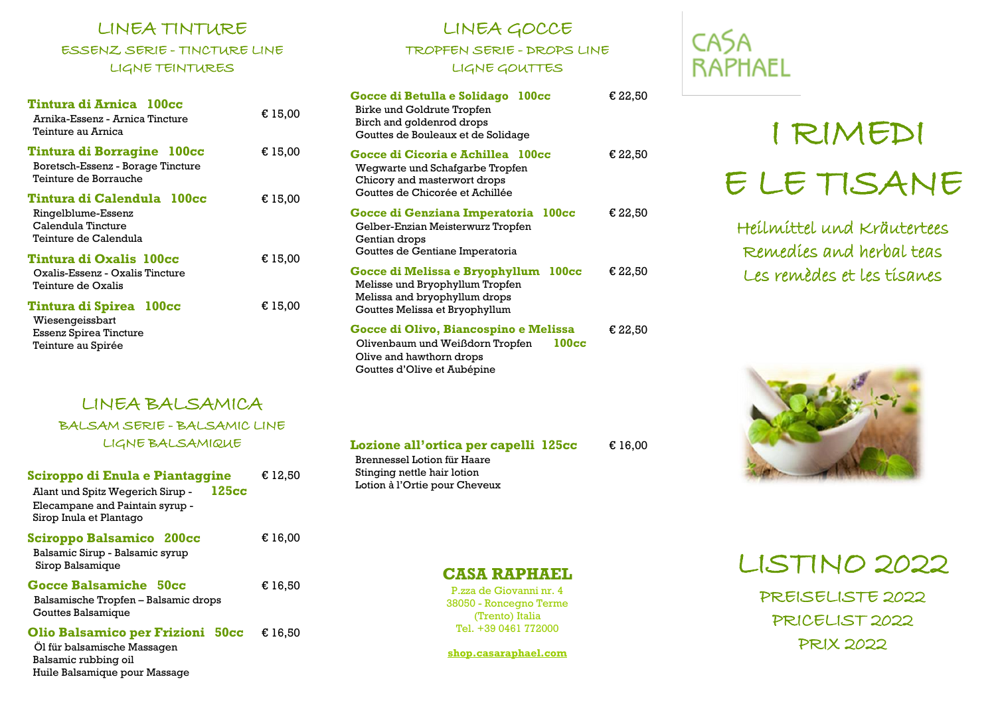# LINEA TINTURE ESSENZ SERIE - TINCTURE LINE LIGNE TEINTURES

| Tintura di Arnica 100cc<br>Arnika-Essenz - Arnica Tincture<br>Teinture au Arnica                | € 15,00 |
|-------------------------------------------------------------------------------------------------|---------|
| Tintura di Borragine 100cc<br>Boretsch-Essenz - Borage Tincture<br>Teinture de Borrauche        | € 15,00 |
| Tintura di Calendula 100cc<br>Ringelblume-Essenz<br>Calendula Tincture<br>Teinture de Calendula | € 15,00 |
| Tintura di Oxalis  100cc<br>Oxalis-Essenz - Oxalis Tincture<br>Teinture de Oxalis               | € 15,00 |
| Tintura di Spirea 100cc<br>Wiesengeissbart<br>Essenz Spirea Tincture<br>Teinture au Spirée      | € 15,00 |

# LINEA BALSAMICA BALSAM SERIE - BALSAMIC LINE LIGNE BALSAMIQUE

| Sciroppo di Enula e Piantaggine<br>125cc<br>Alant und Spitz Wegerich Sirup -<br>Elecampane and Paintain syrup -<br>Sirop Inula et Plantago | € 12.50          |
|--------------------------------------------------------------------------------------------------------------------------------------------|------------------|
| Sciroppo Balsamico 200cc<br>Balsamic Sirup - Balsamic syrup<br>Sirop Balsamique                                                            | $\epsilon$ 16.00 |
| Gocce Balsamiche 50cc<br>Balsamische Tropfen – Balsamic drops<br>Gouttes Balsamique                                                        | € 16.50          |
| Olio Balsamico per Frizioni 50cc<br>Öl für balsamische Massagen<br>Balsamic rubbing oil                                                    | € 16.50          |

Huile Balsamique pour Massage

# LINEA GOCCE TROPFEN SERIE - DROPS LINE LIGNE GOUTTES

| Gocce di Betulla e Solidago<br>100cc<br>Birke und Goldrute Tropfen<br>Birch and goldenrod drops<br>Gouttes de Bouleaux et de Solidage        | € 22,50 |
|----------------------------------------------------------------------------------------------------------------------------------------------|---------|
| Gocce di Cicoria e Achillea 100cc<br>Wegwarte und Schafgarbe Tropfen<br>Chicory and masterwort drops<br>Gouttes de Chicorée et Achillée      | € 22,50 |
| Gocce di Genziana Imperatoria 100cc<br>Gelber-Enzian Meisterwurz Tropfen<br>Gentian drops<br>Couttes de Gentiane Imperatoria                 | € 22,50 |
| Gocce di Melissa e Bryophyllum 100cc<br>Melisse und Bryophyllum Tropfen<br>Melissa and bryophyllum drops<br>Gouttes Melissa et Bryophyllum   | € 22.50 |
| Gocce di Olivo, Biancospino e Melissa<br>100cc<br>Olivenbaum und Weißdorn Tropfen<br>Olive and hawthorn drops<br>Gouttes d'Olive et Aubépine | € 22,50 |

**Lozione all'ortica per capelli 125cc** Brennessel Lotion für Haare Stinging nettle hair lotion Lotion à l'Ortie pour Cheveux € 16,00

# **CASA RAPHAEL**

# I RIMEDI E LE TISANE

Heilmittel und Kräutertees Remedies and herbal teas Les remèdes et les tisanes



LISTINO 2022

PREISELISTE 2022 PRICELIST 2022 PRIX 2022

# **CASA RAPHAEL**

P.zza de Giovanni nr. 4 38050 - Roncegno Terme (Trento) Italia Tel. +39 0461 772000

**shop.casaraphael.com**